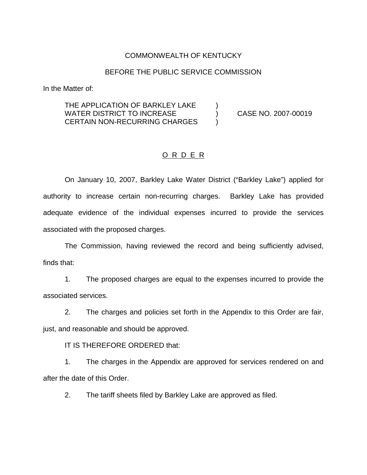### COMMONWEALTH OF KENTUCKY

#### BEFORE THE PUBLIC SERVICE COMMISSION

In the Matter of:

### THE APPLICATION OF BARKLEY LAKE  $\qquad \qquad )$ WATER DISTRICT TO INCREASE (No. 2007-00019) CERTAIN NON-RECURRING CHARGES )

### O R D E R

On January 10, 2007, Barkley Lake Water District ("Barkley Lake") applied for authority to increase certain non-recurring charges. Barkley Lake has provided adequate evidence of the individual expenses incurred to provide the services associated with the proposed charges.

The Commission, having reviewed the record and being sufficiently advised, finds that:

1. The proposed charges are equal to the expenses incurred to provide the associated services.

2. The charges and policies set forth in the Appendix to this Order are fair, just, and reasonable and should be approved.

IT IS THEREFORE ORDERED that:

1. The charges in the Appendix are approved for services rendered on and after the date of this Order.

2. The tariff sheets filed by Barkley Lake are approved as filed.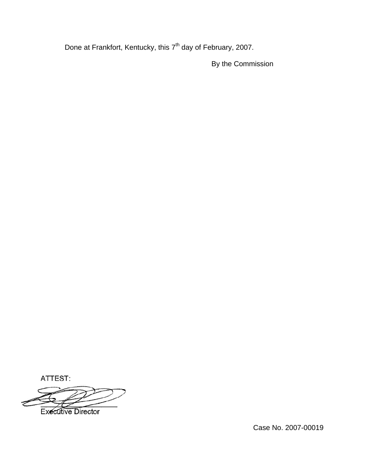Done at Frankfort, Kentucky, this 7<sup>th</sup> day of February, 2007.

By the Commission

ATTEST:

**Executive Director** 

Case No. 2007-00019